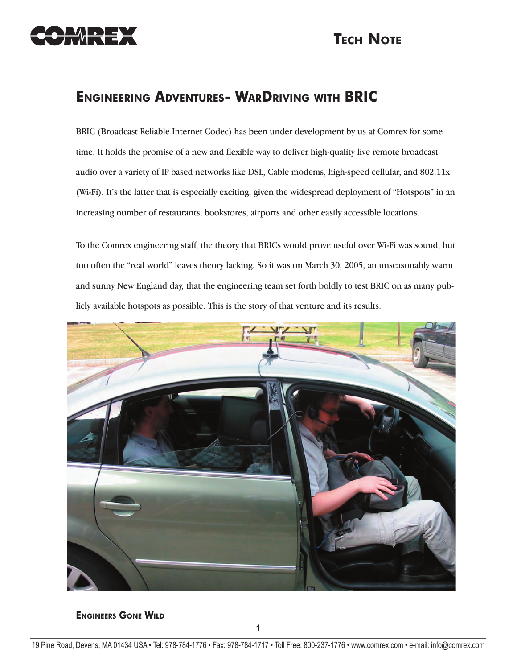## **ENGINEERING ADVENTURES- WARDRIVING WITH BRIC**

BRIC (Broadcast Reliable Internet Codec) has been under development by us at Comrex for some time. It holds the promise of a new and flexible way to deliver high-quality live remote broadcast audio over a variety of IP based networks like DSL, Cable modems, high-speed cellular, and 802.11x (Wi-Fi). It's the latter that is especially exciting, given the widespread deployment of "Hotspots" in an increasing number of restaurants, bookstores, airports and other easily accessible locations.

To the Comrex engineering staff, the theory that BRICs would prove useful over Wi-Fi was sound, but too often the "real world" leaves theory lacking. So it was on March 30, 2005, an unseasonably warm and sunny New England day, that the engineering team set forth boldly to test BRIC on as many publicly available hotspots as possible. This is the story of that venture and its results.



**ENGINEERS GONE WILD**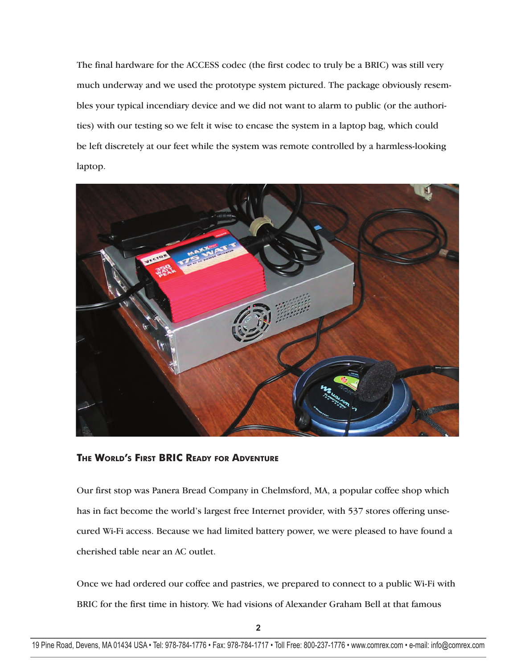The final hardware for the ACCESS codec (the first codec to truly be a BRIC) was still very much underway and we used the prototype system pictured. The package obviously resembles your typical incendiary device and we did not want to alarm to public (or the authorities) with our testing so we felt it wise to encase the system in a laptop bag, which could be left discretely at our feet while the system was remote controlled by a harmless-looking laptop.



**THE WORLD'S FIRST BRIC READY FOR ADVENTURE**

Our first stop was Panera Bread Company in Chelmsford, MA, a popular coffee shop which has in fact become the world's largest free Internet provider, with 537 stores offering unsecured Wi-Fi access. Because we had limited battery power, we were pleased to have found a cherished table near an AC outlet.

Once we had ordered our coffee and pastries, we prepared to connect to a public Wi-Fi with BRIC for the first time in history. We had visions of Alexander Graham Bell at that famous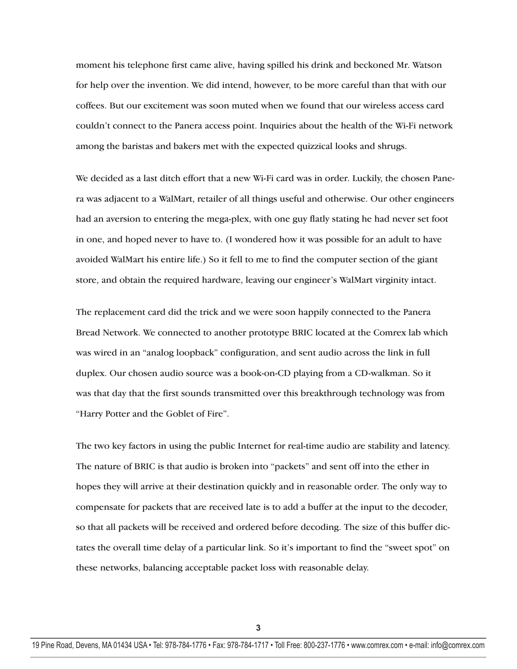moment his telephone first came alive, having spilled his drink and beckoned Mr. Watson for help over the invention. We did intend, however, to be more careful than that with our coffees. But our excitement was soon muted when we found that our wireless access card couldn't connect to the Panera access point. Inquiries about the health of the Wi-Fi network among the baristas and bakers met with the expected quizzical looks and shrugs.

We decided as a last ditch effort that a new Wi-Fi card was in order. Luckily, the chosen Panera was adjacent to a WalMart, retailer of all things useful and otherwise. Our other engineers had an aversion to entering the mega-plex, with one guy flatly stating he had never set foot in one, and hoped never to have to. (I wondered how it was possible for an adult to have avoided WalMart his entire life.) So it fell to me to find the computer section of the giant store, and obtain the required hardware, leaving our engineer's WalMart virginity intact.

The replacement card did the trick and we were soon happily connected to the Panera Bread Network. We connected to another prototype BRIC located at the Comrex lab which was wired in an "analog loopback" configuration, and sent audio across the link in full duplex. Our chosen audio source was a book-on-CD playing from a CD-walkman. So it was that day that the first sounds transmitted over this breakthrough technology was from "Harry Potter and the Goblet of Fire".

The two key factors in using the public Internet for real-time audio are stability and latency. The nature of BRIC is that audio is broken into "packets" and sent off into the ether in hopes they will arrive at their destination quickly and in reasonable order. The only way to compensate for packets that are received late is to add a buffer at the input to the decoder, so that all packets will be received and ordered before decoding. The size of this buffer dictates the overall time delay of a particular link. So it's important to find the "sweet spot" on these networks, balancing acceptable packet loss with reasonable delay.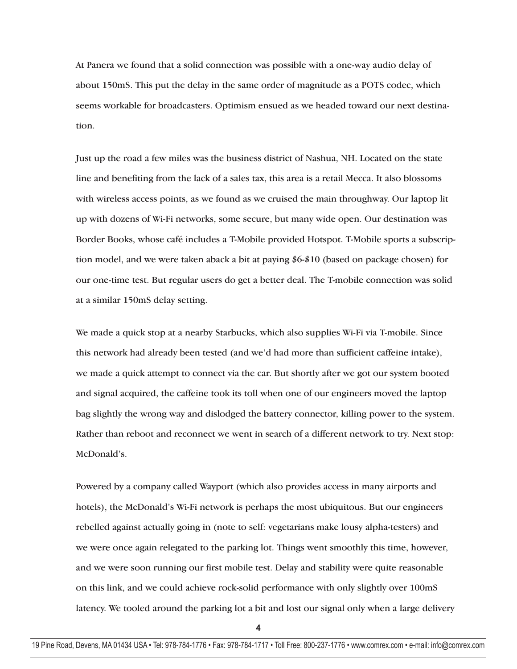At Panera we found that a solid connection was possible with a one-way audio delay of about 150mS. This put the delay in the same order of magnitude as a POTS codec, which seems workable for broadcasters. Optimism ensued as we headed toward our next destination.

Just up the road a few miles was the business district of Nashua, NH. Located on the state line and benefiting from the lack of a sales tax, this area is a retail Mecca. It also blossoms with wireless access points, as we found as we cruised the main throughway. Our laptop lit up with dozens of Wi-Fi networks, some secure, but many wide open. Our destination was Border Books, whose café includes a T-Mobile provided Hotspot. T-Mobile sports a subscription model, and we were taken aback a bit at paying \$6-\$10 (based on package chosen) for our one-time test. But regular users do get a better deal. The T-mobile connection was solid at a similar 150mS delay setting.

We made a quick stop at a nearby Starbucks, which also supplies Wi-Fi via T-mobile. Since this network had already been tested (and we'd had more than sufficient caffeine intake), we made a quick attempt to connect via the car. But shortly after we got our system booted and signal acquired, the caffeine took its toll when one of our engineers moved the laptop bag slightly the wrong way and dislodged the battery connector, killing power to the system. Rather than reboot and reconnect we went in search of a different network to try. Next stop: McDonald's.

Powered by a company called Wayport (which also provides access in many airports and hotels), the McDonald's Wi-Fi network is perhaps the most ubiquitous. But our engineers rebelled against actually going in (note to self: vegetarians make lousy alpha-testers) and we were once again relegated to the parking lot. Things went smoothly this time, however, and we were soon running our first mobile test. Delay and stability were quite reasonable on this link, and we could achieve rock-solid performance with only slightly over 100mS latency. We tooled around the parking lot a bit and lost our signal only when a large delivery